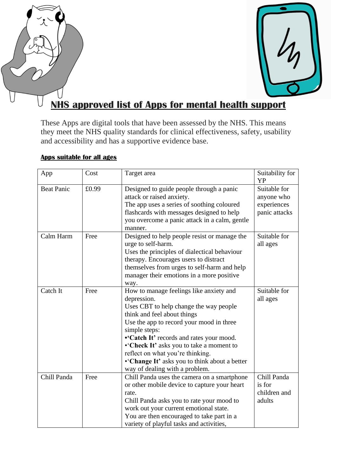



# **NHS approved list of Apps for mental health support**

These Apps are digital tools that have been assessed by the NHS. This means they meet the NHS quality standards for clinical effectiveness, safety, usability and accessibility and has a supportive evidence base.

### **Apps suitable for all ages**

| App               | Cost  | Target area                                                                                                                                                                                                                                                                                                                                                                                                 | Suitability for<br><b>YP</b>                               |
|-------------------|-------|-------------------------------------------------------------------------------------------------------------------------------------------------------------------------------------------------------------------------------------------------------------------------------------------------------------------------------------------------------------------------------------------------------------|------------------------------------------------------------|
| <b>Beat Panic</b> | £0.99 | Designed to guide people through a panic<br>attack or raised anxiety.<br>The app uses a series of soothing coloured<br>flashcards with messages designed to help<br>you overcome a panic attack in a calm, gentle<br>manner.                                                                                                                                                                                | Suitable for<br>anyone who<br>experiences<br>panic attacks |
| Calm Harm         | Free  | Designed to help people resist or manage the<br>urge to self-harm.<br>Uses the principles of dialectical behaviour<br>therapy. Encourages users to distract<br>themselves from urges to self-harm and help<br>manager their emotions in a more positive<br>way.                                                                                                                                             | Suitable for<br>all ages                                   |
| Catch It          | Free  | How to manage feelings like anxiety and<br>depression.<br>Uses CBT to help change the way people<br>think and feel about things<br>Use the app to record your mood in three<br>simple steps:<br>•'Catch It' records and rates your mood.<br>• Check It' asks you to take a moment to<br>reflect on what you're thinking.<br>•'Change It' asks you to think about a better<br>way of dealing with a problem. | Suitable for<br>all ages                                   |
| Chill Panda       | Free  | Chill Panda uses the camera on a smartphone<br>or other mobile device to capture your heart<br>rate.<br>Chill Panda asks you to rate your mood to<br>work out your current emotional state.<br>You are then encouraged to take part in a<br>variety of playful tasks and activities,                                                                                                                        | Chill Panda<br>is for<br>children and<br>adults            |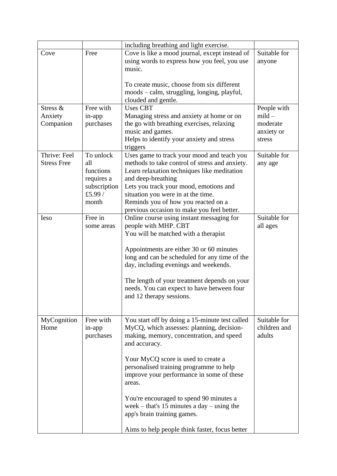|                    |              | including breathing and light exercise.                           |              |
|--------------------|--------------|-------------------------------------------------------------------|--------------|
| Cove               | Free         | Cove is like a mood journal, except instead of                    | Suitable for |
|                    |              | using words to express how you feel, you use                      | anyone       |
|                    |              | music.                                                            |              |
|                    |              |                                                                   |              |
|                    |              | To create music, choose from six different                        |              |
|                    |              | moods - calm, struggling, longing, playful,                       |              |
|                    |              | clouded and gentle.                                               |              |
| Stress &           | Free with    | <b>Uses CBT</b>                                                   | People with  |
| Anxiety            | in-app       | Managing stress and anxiety at home or on                         | $mid$ –      |
| Companion          | purchases    | the go with breathing exercises, relaxing                         | moderate     |
|                    |              | music and games.                                                  | anxiety or   |
|                    |              | Helps to identify your anxiety and stress                         | stress       |
|                    |              | triggers                                                          |              |
| Thrive: Feel       | To unlock    | Uses game to track your mood and teach you                        | Suitable for |
| <b>Stress Free</b> | all          | methods to take control of stress and anxiety.                    | any age      |
|                    | functions    | Learn relaxation techniques like meditation                       |              |
|                    | requires a   | and deep-breathing                                                |              |
|                    | subscription | Lets you track your mood, emotions and                            |              |
|                    | £5.99 $/$    | situation you were in at the time.                                |              |
|                    | month        | Reminds you of how you reacted on a                               |              |
| <b>Ieso</b>        | Free in      | previous occasion to make you feel better.                        | Suitable for |
|                    | some areas   | Online course using instant messaging for<br>people with MHP. CBT | all ages     |
|                    |              | You will be matched with a therapist                              |              |
|                    |              |                                                                   |              |
|                    |              | Appointments are either 30 or 60 minutes                          |              |
|                    |              | long and can be scheduled for any time of the                     |              |
|                    |              | day, including evenings and weekends.                             |              |
|                    |              |                                                                   |              |
|                    |              | The length of your treatment depends on your                      |              |
|                    |              | needs. You can expect to have between four                        |              |
|                    |              | and 12 therapy sessions.                                          |              |
|                    |              |                                                                   |              |
|                    |              |                                                                   |              |
| MyCognition        | Free with    | You start off by doing a 15-minute test called                    | Suitable for |
| Home               | in-app       | MyCQ, which assesses: planning, decision-                         | children and |
|                    | purchases    | making, memory, concentration, and speed                          | adults       |
|                    |              | and accuracy.                                                     |              |
|                    |              |                                                                   |              |
|                    |              | Your MyCQ score is used to create a                               |              |
|                    |              | personalised training programme to help                           |              |
|                    |              | improve your performance in some of these                         |              |
|                    |              | areas.                                                            |              |
|                    |              |                                                                   |              |
|                    |              | You're encouraged to spend 90 minutes a                           |              |
|                    |              | week – that's 15 minutes a day – using the                        |              |
|                    |              | app's brain training games.                                       |              |
|                    |              | Aims to help people think faster, focus better                    |              |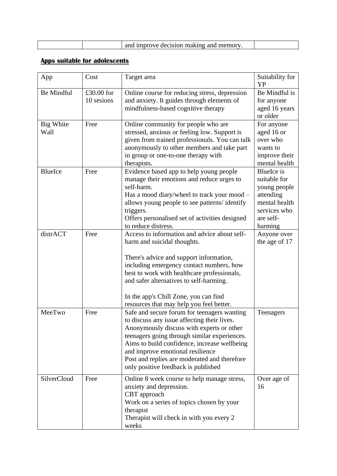|  |  | I improve decision making and memory |  |
|--|--|--------------------------------------|--|
|--|--|--------------------------------------|--|

## **Apps suitable for adolescents**

| App                      | Cost       | Target area                                                                              | Suitability for<br><b>YP</b> |
|--------------------------|------------|------------------------------------------------------------------------------------------|------------------------------|
| <b>Be Mindful</b>        | £30.00 for | Online course for reducing stress, depression                                            | Be Mindful is                |
|                          | 10 sesions | and anxiety. It guides through elements of                                               | for anyone                   |
|                          |            | mindfulness-based cognitive therapy                                                      | aged 16 years                |
|                          |            |                                                                                          | or older                     |
| <b>Big White</b><br>Wall | Free       | Online community for people who are<br>stressed, anxious or feeling low. Support is      | For anyone<br>aged 16 or     |
|                          |            | given from trained professionals. You can talk                                           | over who                     |
|                          |            | anonymously to other members and take part                                               | wants to                     |
|                          |            | in group or one-to-one therapy with                                                      | improve their                |
|                          |            | therapists.                                                                              | mental health                |
| <b>BlueIce</b>           | Free       | Evidence based app to help young people                                                  | <b>BlueIce</b> is            |
|                          |            | manage their emotions and reduce urges to                                                | suitable for                 |
|                          |            | self-harm.                                                                               | young people                 |
|                          |            | Has a mood diary/wheel to track your mood –                                              | attending                    |
|                          |            | allows young people to see patterns/identify                                             | mental health                |
|                          |            | triggers.                                                                                | services who                 |
|                          |            | Offers personalised set of activities designed<br>to reduce distress.                    | are self-                    |
| distrACT                 | Free       | Access to information and advice about self-                                             | harming<br>Anyone over       |
|                          |            | harm and suicidal thoughts.                                                              | the age of 17                |
|                          |            |                                                                                          |                              |
|                          |            | There's advice and support information,                                                  |                              |
|                          |            | including emergency contact numbers, how                                                 |                              |
|                          |            | best to work with healthcare professionals,                                              |                              |
|                          |            | and safer alternatives to self-harming.                                                  |                              |
|                          |            | In the app's Chill Zone, you can find                                                    |                              |
|                          |            | resources that may help you feel better.                                                 |                              |
| MeeTwo                   | Free       | Safe and secure forum for teenagers wanting                                              | Teenagers                    |
|                          |            | to discuss any issue affecting their lives.<br>Anonymously discuss with experts or other |                              |
|                          |            | teenagers going through similar experiences.                                             |                              |
|                          |            | Aims to build confidence, increase wellbeing                                             |                              |
|                          |            | and improve emotional resilience                                                         |                              |
|                          |            | Post and replies are moderated and therefore                                             |                              |
|                          |            | only positive feedback is published                                                      |                              |
| SilverCloud              | Free       | Online 8 week course to help manage stress,                                              | Over age of                  |
|                          |            | anxiety and depression.                                                                  | 16                           |
|                          |            | CBT approach                                                                             |                              |
|                          |            | Work on a series of topics chosen by your                                                |                              |
|                          |            | therapist                                                                                |                              |
|                          |            | Therapist will check in with you every 2                                                 |                              |
|                          |            | weeks                                                                                    |                              |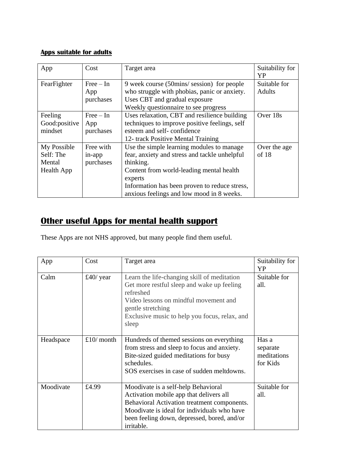#### **Apps suitable for adults**

| App                                                     | Cost                                | Target area                                                                                                                                                                                                                                                   | Suitability for<br>YP         |
|---------------------------------------------------------|-------------------------------------|---------------------------------------------------------------------------------------------------------------------------------------------------------------------------------------------------------------------------------------------------------------|-------------------------------|
| FearFighter                                             | $Free - In$<br>App<br>purchases     | 9 week course (50mins/session) for people<br>who struggle with phobias, panic or anxiety.<br>Uses CBT and gradual exposure<br>Weekly questionnaire to see progress                                                                                            | Suitable for<br><b>Adults</b> |
| Feeling<br>Good:positive<br>mindset                     | $Free - In$<br>App<br>purchases     | Uses relaxation, CBT and resilience building<br>techniques to improve positive feelings, self<br>esteem and self-confidence<br>12- track Positive Mental Training                                                                                             | Over 18s                      |
| My Possible<br>Self: The<br>Mental<br><b>Health App</b> | Free with<br>$in$ -app<br>purchases | Use the simple learning modules to manage.<br>fear, anxiety and stress and tackle unhelpful<br>thinking.<br>Content from world-leading mental health<br>experts<br>Information has been proven to reduce stress,<br>anxious feelings and low mood in 8 weeks. | Over the age<br>of 18         |

# **Other useful Apps for mental health support**

These Apps are not NHS approved, but many people find them useful.

| App       | Cost       | Target area                                                                                                                                                                                                                               | Suitability for<br>YP                        |
|-----------|------------|-------------------------------------------------------------------------------------------------------------------------------------------------------------------------------------------------------------------------------------------|----------------------------------------------|
| Calm      | £40/ year  | Learn the life-changing skill of meditation<br>Get more restful sleep and wake up feeling<br>refreshed<br>Video lessons on mindful movement and<br>gentle stretching<br>Exclusive music to help you focus, relax, and<br>sleep            | Suitable for<br>all.                         |
| Headspace | £10/ month | Hundreds of themed sessions on everything<br>from stress and sleep to focus and anxiety.<br>Bite-sized guided meditations for busy<br>schedules.<br>SOS exercises in case of sudden meltdowns.                                            | Has a<br>separate<br>meditations<br>for Kids |
| Moodivate | £4.99      | Moodivate is a self-help Behavioral<br>Activation mobile app that delivers all<br>Behavioral Activation treatment components.<br>Moodivate is ideal for individuals who have<br>been feeling down, depressed, bored, and/or<br>irritable. | Suitable for<br>all.                         |